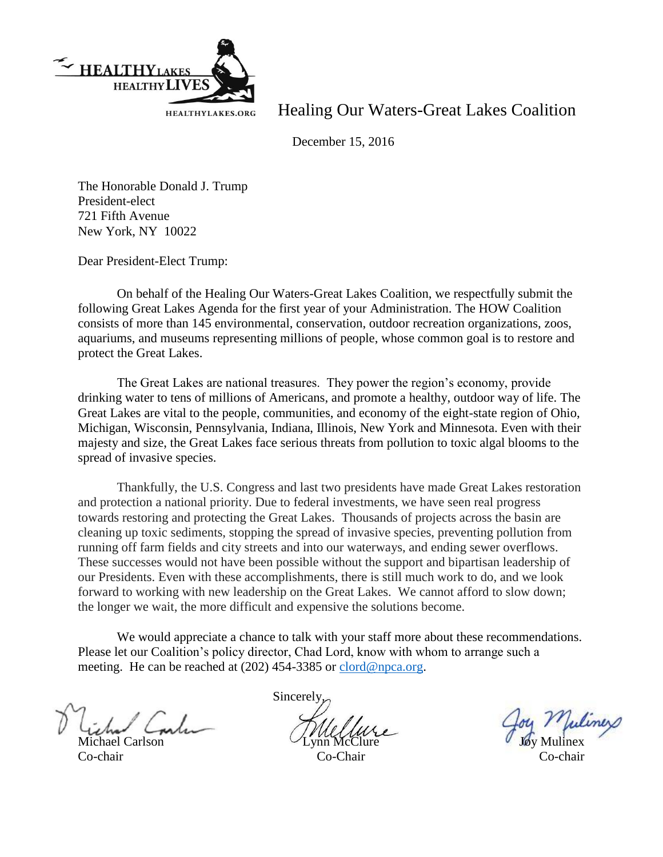

Healing Our Waters-Great Lakes Coalition

December 15, 2016

The Honorable Donald J. Trump President-elect 721 Fifth Avenue New York, NY 10022

Dear President-Elect Trump:

On behalf of the Healing Our Waters-Great Lakes Coalition, we respectfully submit the following Great Lakes Agenda for the first year of your Administration. The HOW Coalition consists of more than 145 environmental, conservation, outdoor recreation organizations, zoos, aquariums, and museums representing millions of people, whose common goal is to restore and protect the Great Lakes.

The Great Lakes are national treasures. They power the region's economy, provide drinking water to tens of millions of Americans, and promote a healthy, outdoor way of life. The Great Lakes are vital to the people, communities, and economy of the eight-state region of Ohio, Michigan, Wisconsin, Pennsylvania, Indiana, Illinois, New York and Minnesota. Even with their majesty and size, the Great Lakes face serious threats from pollution to toxic algal blooms to the spread of invasive species.

Thankfully, the U.S. Congress and last two presidents have made Great Lakes restoration and protection a national priority. Due to federal investments, we have seen real progress towards restoring and protecting the Great Lakes. Thousands of projects across the basin are cleaning up toxic sediments, stopping the spread of invasive species, preventing pollution from running off farm fields and city streets and into our waterways, and ending sewer overflows. These successes would not have been possible without the support and bipartisan leadership of our Presidents. Even with these accomplishments, there is still much work to do, and we look forward to working with new leadership on the Great Lakes. We cannot afford to slow down; the longer we wait, the more difficult and expensive the solutions become.

We would appreciate a chance to talk with your staff more about these recommendations. Please let our Coalition's policy director, Chad Lord, know with whom to arrange such a meeting. He can be reached at (202) 454-3385 or [clord@npca.org.](mailto:clord@npca.org)

Michael Carlson Co-chair Co-Chair Co-chair

**Sincerely**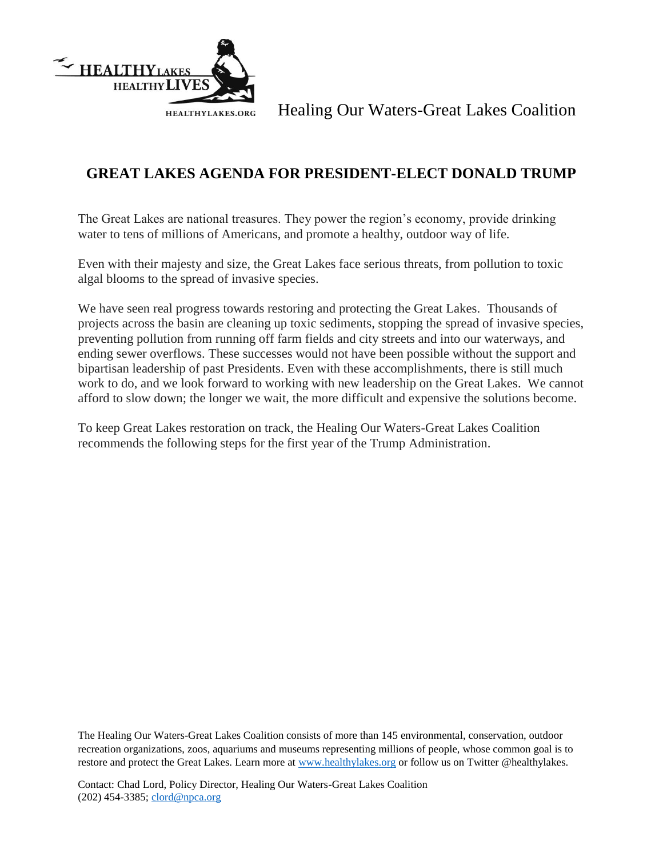

Healing Our Waters-Great Lakes Coalition

## **GREAT LAKES AGENDA FOR PRESIDENT-ELECT DONALD TRUMP**

The Great Lakes are national treasures. They power the region's economy, provide drinking water to tens of millions of Americans, and promote a healthy, outdoor way of life.

Even with their majesty and size, the Great Lakes face serious threats, from pollution to toxic algal blooms to the spread of invasive species.

We have seen real progress towards restoring and protecting the Great Lakes. Thousands of projects across the basin are cleaning up toxic sediments, stopping the spread of invasive species, preventing pollution from running off farm fields and city streets and into our waterways, and ending sewer overflows. These successes would not have been possible without the support and bipartisan leadership of past Presidents. Even with these accomplishments, there is still much work to do, and we look forward to working with new leadership on the Great Lakes. We cannot afford to slow down; the longer we wait, the more difficult and expensive the solutions become.

To keep Great Lakes restoration on track, the Healing Our Waters-Great Lakes Coalition recommends the following steps for the first year of the Trump Administration.

The Healing Our Waters-Great Lakes Coalition consists of more than 145 environmental, conservation, outdoor recreation organizations, zoos, aquariums and museums representing millions of people, whose common goal is to restore and protect the Great Lakes. Learn more at [www.healthylakes.org](http://www.healthylakes.org/) or follow us on Twitter @healthylakes.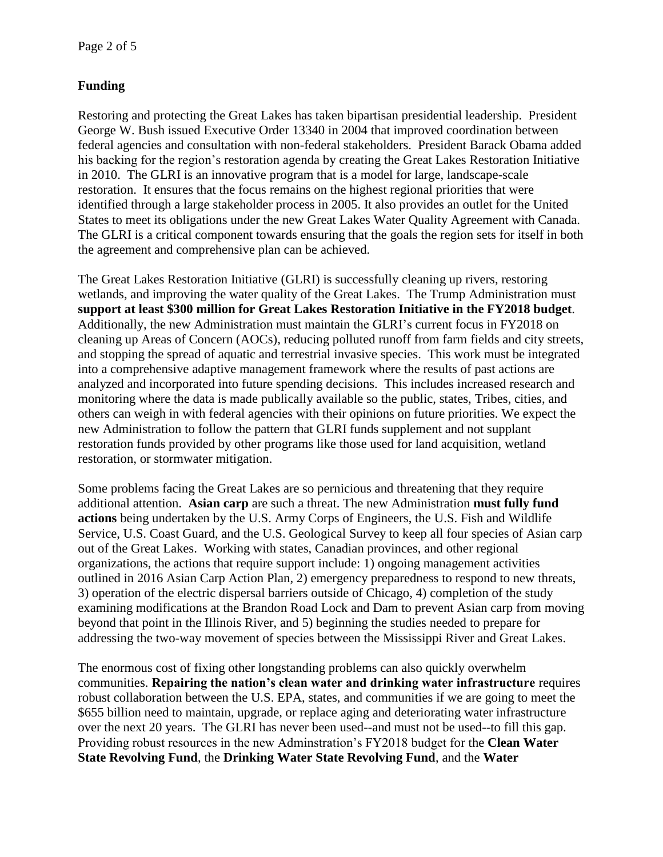## **Funding**

Restoring and protecting the Great Lakes has taken bipartisan presidential leadership. President George W. Bush issued Executive Order 13340 in 2004 that improved coordination between federal agencies and consultation with non-federal stakeholders. President Barack Obama added his backing for the region's restoration agenda by creating the Great Lakes Restoration Initiative in 2010. The GLRI is an innovative program that is a model for large, landscape-scale restoration. It ensures that the focus remains on the highest regional priorities that were identified through a large stakeholder process in 2005. It also provides an outlet for the United States to meet its obligations under the new Great Lakes Water Quality Agreement with Canada. The GLRI is a critical component towards ensuring that the goals the region sets for itself in both the agreement and comprehensive plan can be achieved.

The Great Lakes Restoration Initiative (GLRI) is successfully cleaning up rivers, restoring wetlands, and improving the water quality of the Great Lakes. The Trump Administration must **support at least \$300 million for Great Lakes Restoration Initiative in the FY2018 budget**. Additionally, the new Administration must maintain the GLRI's current focus in FY2018 on cleaning up Areas of Concern (AOCs), reducing polluted runoff from farm fields and city streets, and stopping the spread of aquatic and terrestrial invasive species. This work must be integrated into a comprehensive adaptive management framework where the results of past actions are analyzed and incorporated into future spending decisions. This includes increased research and monitoring where the data is made publically available so the public, states, Tribes, cities, and others can weigh in with federal agencies with their opinions on future priorities. We expect the new Administration to follow the pattern that GLRI funds supplement and not supplant restoration funds provided by other programs like those used for land acquisition, wetland restoration, or stormwater mitigation.

Some problems facing the Great Lakes are so pernicious and threatening that they require additional attention. **Asian carp** are such a threat. The new Administration **must fully fund actions** being undertaken by the U.S. Army Corps of Engineers, the U.S. Fish and Wildlife Service, U.S. Coast Guard, and the U.S. Geological Survey to keep all four species of Asian carp out of the Great Lakes. Working with states, Canadian provinces, and other regional organizations, the actions that require support include: 1) ongoing management activities outlined in 2016 Asian Carp Action Plan, 2) emergency preparedness to respond to new threats, 3) operation of the electric dispersal barriers outside of Chicago, 4) completion of the study examining modifications at the Brandon Road Lock and Dam to prevent Asian carp from moving beyond that point in the Illinois River, and 5) beginning the studies needed to prepare for addressing the two-way movement of species between the Mississippi River and Great Lakes.

The enormous cost of fixing other longstanding problems can also quickly overwhelm communities. **Repairing the nation's clean water and drinking water infrastructure** requires robust collaboration between the U.S. EPA, states, and communities if we are going to meet the \$655 billion need to maintain, upgrade, or replace aging and deteriorating water infrastructure over the next 20 years. The GLRI has never been used--and must not be used--to fill this gap. Providing robust resources in the new Adminstration's FY2018 budget for the **Clean Water State Revolving Fund**, the **Drinking Water State Revolving Fund**, and the **Water**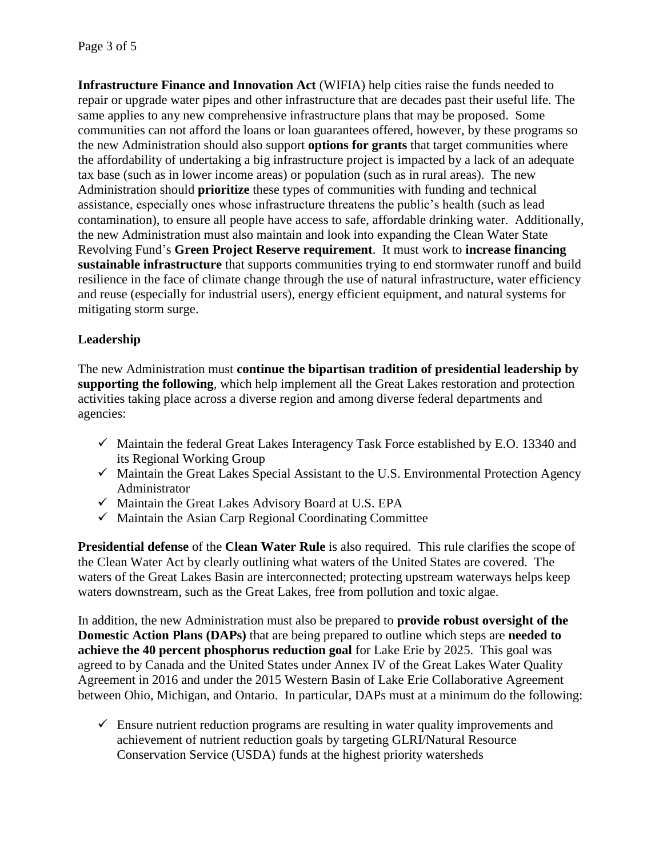**Infrastructure Finance and Innovation Act** (WIFIA) help cities raise the funds needed to repair or upgrade water pipes and other infrastructure that are decades past their useful life. The same applies to any new comprehensive infrastructure plans that may be proposed. Some communities can not afford the loans or loan guarantees offered, however, by these programs so the new Administration should also support **options for grants** that target communities where the affordability of undertaking a big infrastructure project is impacted by a lack of an adequate tax base (such as in lower income areas) or population (such as in rural areas). The new Administration should **prioritize** these types of communities with funding and technical assistance, especially ones whose infrastructure threatens the public's health (such as lead contamination), to ensure all people have access to safe, affordable drinking water. Additionally, the new Administration must also maintain and look into expanding the Clean Water State Revolving Fund's **Green Project Reserve requirement**. It must work to **increase financing sustainable infrastructure** that supports communities trying to end stormwater runoff and build resilience in the face of climate change through the use of natural infrastructure, water efficiency and reuse (especially for industrial users), energy efficient equipment, and natural systems for mitigating storm surge.

## **Leadership**

The new Administration must **continue the bipartisan tradition of presidential leadership by supporting the following**, which help implement all the Great Lakes restoration and protection activities taking place across a diverse region and among diverse federal departments and agencies:

- $\checkmark$  Maintain the federal Great Lakes Interagency Task Force established by E.O. 13340 and its Regional Working Group
- $\checkmark$  Maintain the Great Lakes Special Assistant to the U.S. Environmental Protection Agency Administrator
- $\checkmark$  Maintain the Great Lakes Advisory Board at U.S. EPA
- $\checkmark$  Maintain the Asian Carp Regional Coordinating Committee

**Presidential defense** of the **Clean Water Rule** is also required. This rule clarifies the scope of the Clean Water Act by clearly outlining what waters of the United States are covered. The waters of the Great Lakes Basin are interconnected; protecting upstream waterways helps keep waters downstream, such as the Great Lakes, free from pollution and toxic algae.

In addition, the new Administration must also be prepared to **provide robust oversight of the Domestic Action Plans (DAPs)** that are being prepared to outline which steps are **needed to achieve the 40 percent phosphorus reduction goal** for Lake Erie by 2025. This goal was agreed to by Canada and the United States under Annex IV of the Great Lakes Water Quality Agreement in 2016 and under the 2015 Western Basin of Lake Erie Collaborative Agreement between Ohio, Michigan, and Ontario. In particular, DAPs must at a minimum do the following:

 $\checkmark$  Ensure nutrient reduction programs are resulting in water quality improvements and achievement of nutrient reduction goals by targeting GLRI/Natural Resource Conservation Service (USDA) funds at the highest priority watersheds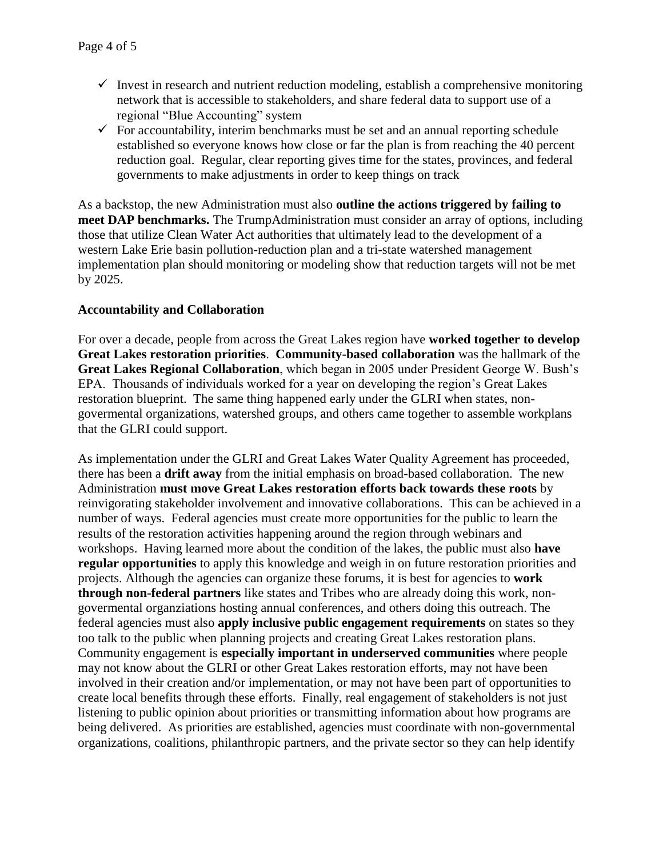- Invest in research and nutrient reduction modeling, establish a comprehensive monitoring network that is accessible to stakeholders, and share federal data to support use of a regional "Blue Accounting" system
- $\checkmark$  For accountability, interim benchmarks must be set and an annual reporting schedule established so everyone knows how close or far the plan is from reaching the 40 percent reduction goal. Regular, clear reporting gives time for the states, provinces, and federal governments to make adjustments in order to keep things on track

As a backstop, the new Administration must also **outline the actions triggered by failing to meet DAP benchmarks.** The TrumpAdministration must consider an array of options, including those that utilize Clean Water Act authorities that ultimately lead to the development of a western Lake Erie basin pollution-reduction plan and a tri-state watershed management implementation plan should monitoring or modeling show that reduction targets will not be met by 2025.

## **Accountability and Collaboration**

For over a decade, people from across the Great Lakes region have **worked together to develop Great Lakes restoration priorities**. **Community-based collaboration** was the hallmark of the **Great Lakes Regional Collaboration**, which began in 2005 under President George W. Bush's EPA. Thousands of individuals worked for a year on developing the region's Great Lakes restoration blueprint. The same thing happened early under the GLRI when states, nongovermental organizations, watershed groups, and others came together to assemble workplans that the GLRI could support.

As implementation under the GLRI and Great Lakes Water Quality Agreement has proceeded, there has been a **drift away** from the initial emphasis on broad-based collaboration. The new Administration **must move Great Lakes restoration efforts back towards these roots** by reinvigorating stakeholder involvement and innovative collaborations. This can be achieved in a number of ways. Federal agencies must create more opportunities for the public to learn the results of the restoration activities happening around the region through webinars and workshops. Having learned more about the condition of the lakes, the public must also **have regular opportunities** to apply this knowledge and weigh in on future restoration priorities and projects. Although the agencies can organize these forums, it is best for agencies to **work through non-federal partners** like states and Tribes who are already doing this work, nongovermental organziations hosting annual conferences, and others doing this outreach. The federal agencies must also **apply inclusive public engagement requirements** on states so they too talk to the public when planning projects and creating Great Lakes restoration plans. Community engagement is **especially important in underserved communities** where people may not know about the GLRI or other Great Lakes restoration efforts, may not have been involved in their creation and/or implementation, or may not have been part of opportunities to create local benefits through these efforts. Finally, real engagement of stakeholders is not just listening to public opinion about priorities or transmitting information about how programs are being delivered. As priorities are established, agencies must coordinate with non-governmental organizations, coalitions, philanthropic partners, and the private sector so they can help identify